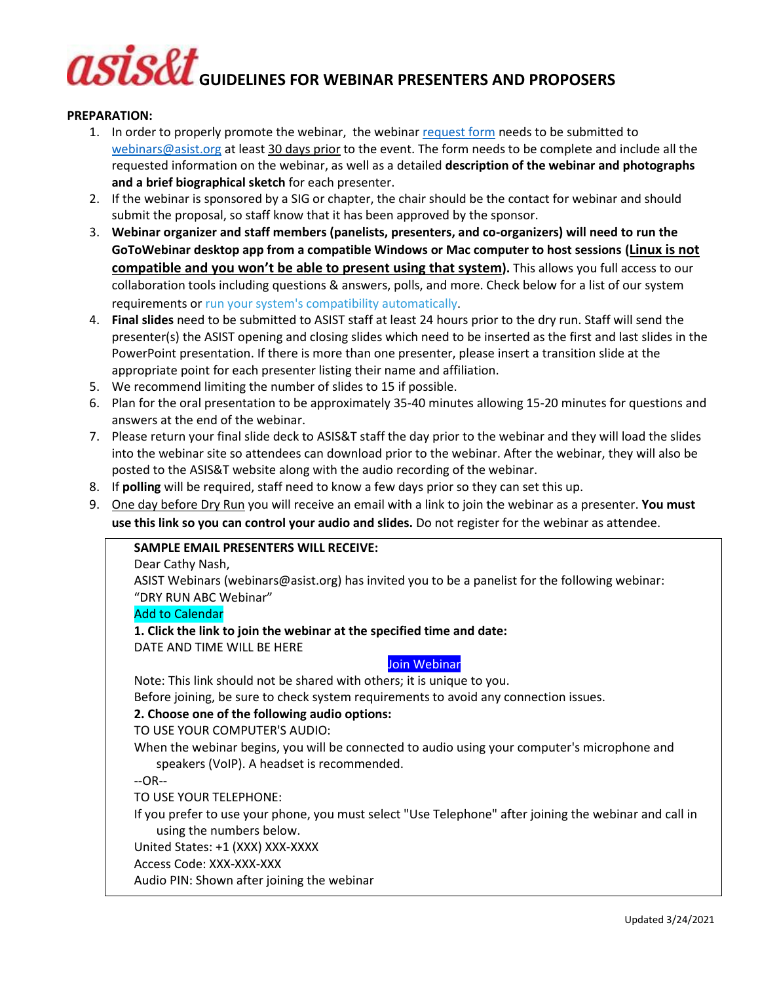# **GUIDELINES FOR WEBINAR PRESENTERS AND PROPOSERS**

# **PREPARATION:**

- 1. In order to properly promote the webinar, the webinar [request form](http://www.asist.org/webinars) needs to be submitted to [webinars@asist.org](mailto:webinars@asist.org) at least 30 days prior to the event. The form needs to be complete and include all the requested information on the webinar, as well as a detailed **description of the webinar and photographs and a brief biographical sketch** for each presenter.
- 2. If the webinar is sponsored by a SIG or chapter, the chair should be the contact for webinar and should submit the proposal, so staff know that it has been approved by the sponsor.
- 3. **Webinar organizer and staff members (panelists, presenters, and co-organizers) will need to run the GoToWebinar desktop app from a compatible Windows or Mac computer to host sessions (Linux is not compatible and you won't be able to present using that system).** This allows you full access to our collaboration tools including questions & answers, polls, and more. Check below for a list of our system requirements or [run your system's compatibility automatically](https://support.logmeininc.com/gotowebinar/system-check-organizer).
- 4. **Final slides** need to be submitted to ASIST staff at least 24 hours prior to the dry run. Staff will send the presenter(s) the ASIST opening and closing slides which need to be inserted as the first and last slides in the PowerPoint presentation. If there is more than one presenter, please insert a transition slide at the appropriate point for each presenter listing their name and affiliation.
- 5. We recommend limiting the number of slides to 15 if possible.
- 6. Plan for the oral presentation to be approximately 35-40 minutes allowing 15-20 minutes for questions and answers at the end of the webinar.
- 7. Please return your final slide deck to ASIS&T staff the day prior to the webinar and they will load the slides into the webinar site so attendees can download prior to the webinar. After the webinar, they will also be posted to the ASIS&T website along with the audio recording of the webinar.
- 8. If **polling** will be required, staff need to know a few days prior so they can set this up.
- 9. One day before Dry Run you will receive an email with a link to join the webinar as a presenter. **You must use this link so you can control your audio and slides.** Do not register for the webinar as attendee.

# **SAMPLE EMAIL PRESENTERS WILL RECEIVE:**

# Dear Cathy Nash,

ASIST Webinars (webinars@asist.org) has invited you to be a panelist for the following webinar: "DRY RUN ABC Webinar"

# [Add to Calendar](https://global.gotowebinar.com/icsCalendar.tmpl?webinar=7519223968801818371&user=8759299362095964163)

# **1. Click the link to join the webinar at the specified time and date:**

DATE AND TIME WILL BE HERE

# Join Webinar

Note: This link should not be shared with others; it is unique to you.

Before joining, be sure to check system requirements to avoid any connection issues.

# **2. Choose one of the following audio options:**

# TO USE YOUR COMPUTER'S AUDIO:

When the webinar begins, you will be connected to audio using your computer's microphone and speakers (VoIP). A headset is recommended.

--OR--

TO USE YOUR TELEPHONE:

If you prefer to use your phone, you must select "Use Telephone" after joining the webinar and call in using the numbers below.

United States: +1 (XXX) XXX-XXXX

Access Code: XXX-XXX-XXX

Audio PIN: Shown after joining the webinar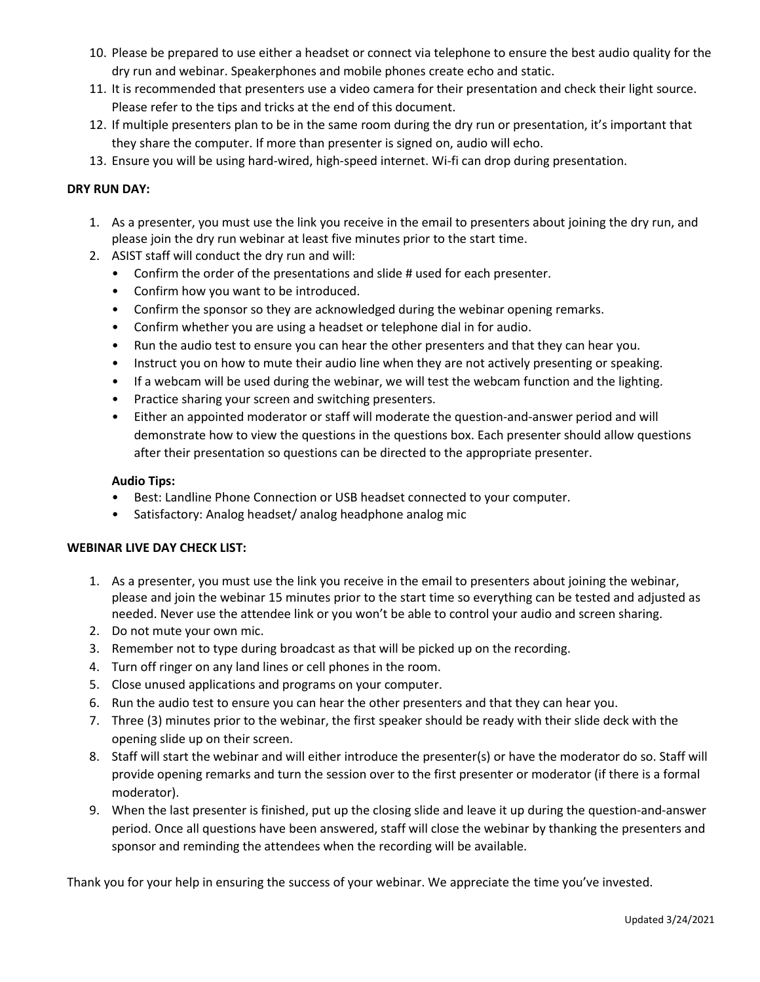- 10. Please be prepared to use either a headset or connect via telephone to ensure the best audio quality for the dry run and webinar. Speakerphones and mobile phones create echo and static.
- 11. It is recommended that presenters use a video camera for their presentation and check their light source. Please refer to the tips and tricks at the end of this document.
- 12. If multiple presenters plan to be in the same room during the dry run or presentation, it's important that they share the computer. If more than presenter is signed on, audio will echo.
- 13. Ensure you will be using hard-wired, high-speed internet. Wi-fi can drop during presentation.

# **DRY RUN DAY:**

- 1. As a presenter, you must use the link you receive in the email to presenters about joining the dry run, and please join the dry run webinar at least five minutes prior to the start time.
- 2. ASIST staff will conduct the dry run and will:
	- Confirm the order of the presentations and slide # used for each presenter.
	- Confirm how you want to be introduced.
	- Confirm the sponsor so they are acknowledged during the webinar opening remarks.
	- Confirm whether you are using a headset or telephone dial in for audio.
	- Run the audio test to ensure you can hear the other presenters and that they can hear you.
	- Instruct you on how to mute their audio line when they are not actively presenting or speaking.
	- If a webcam will be used during the webinar, we will test the webcam function and the lighting.
	- Practice sharing your screen and switching presenters.
	- Either an appointed moderator or staff will moderate the question-and-answer period and will demonstrate how to view the questions in the questions box. Each presenter should allow questions after their presentation so questions can be directed to the appropriate presenter.

# **Audio Tips:**

- Best: Landline Phone Connection or USB headset connected to your computer.
- Satisfactory: Analog headset/ analog headphone analog mic

# **WEBINAR LIVE DAY CHECK LIST:**

- 1. As a presenter, you must use the link you receive in the email to presenters about joining the webinar, please and join the webinar 15 minutes prior to the start time so everything can be tested and adjusted as needed. Never use the attendee link or you won't be able to control your audio and screen sharing.
- 2. Do not mute your own mic.
- 3. Remember not to type during broadcast as that will be picked up on the recording.
- 4. Turn off ringer on any land lines or cell phones in the room.
- 5. Close unused applications and programs on your computer.
- 6. Run the audio test to ensure you can hear the other presenters and that they can hear you.
- 7. Three (3) minutes prior to the webinar, the first speaker should be ready with their slide deck with the opening slide up on their screen.
- 8. Staff will start the webinar and will either introduce the presenter(s) or have the moderator do so. Staff will provide opening remarks and turn the session over to the first presenter or moderator (if there is a formal moderator).
- 9. When the last presenter is finished, put up the closing slide and leave it up during the question-and-answer period. Once all questions have been answered, staff will close the webinar by thanking the presenters and sponsor and reminding the attendees when the recording will be available.

Thank you for your help in ensuring the success of your webinar. We appreciate the time you've invested.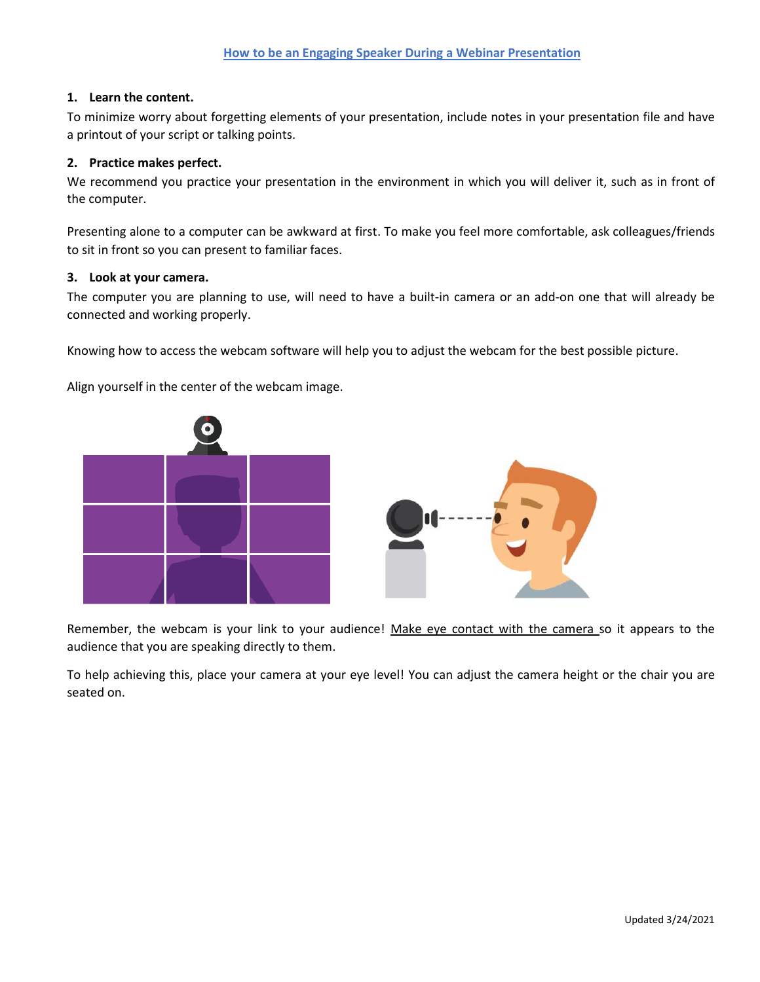# **1. Learn the content.**

To minimize worry about forgetting elements of your presentation, include notes in your presentation file and have a printout of your script or talking points.

# **2. Practice makes perfect.**

We recommend you practice your presentation in the environment in which you will deliver it, such as in front of the computer.

Presenting alone to a computer can be awkward at first. To make you feel more comfortable, ask colleagues/friends to sit in front so you can present to familiar faces.

# **3. Look at your camera.**

The computer you are planning to use, will need to have a built-in camera or an add-on one that will already be connected and working properly.

Knowing how to access the webcam software will help you to adjust the webcam for the best possible picture.

Align yourself in the center of the webcam image.





Remember, the webcam is your link to your audience! Make eye contact with the camera so it appears to the audience that you are speaking directly to them.

To help achieving this, place your camera at your eye level! You can adjust the camera height or the chair you are seated on.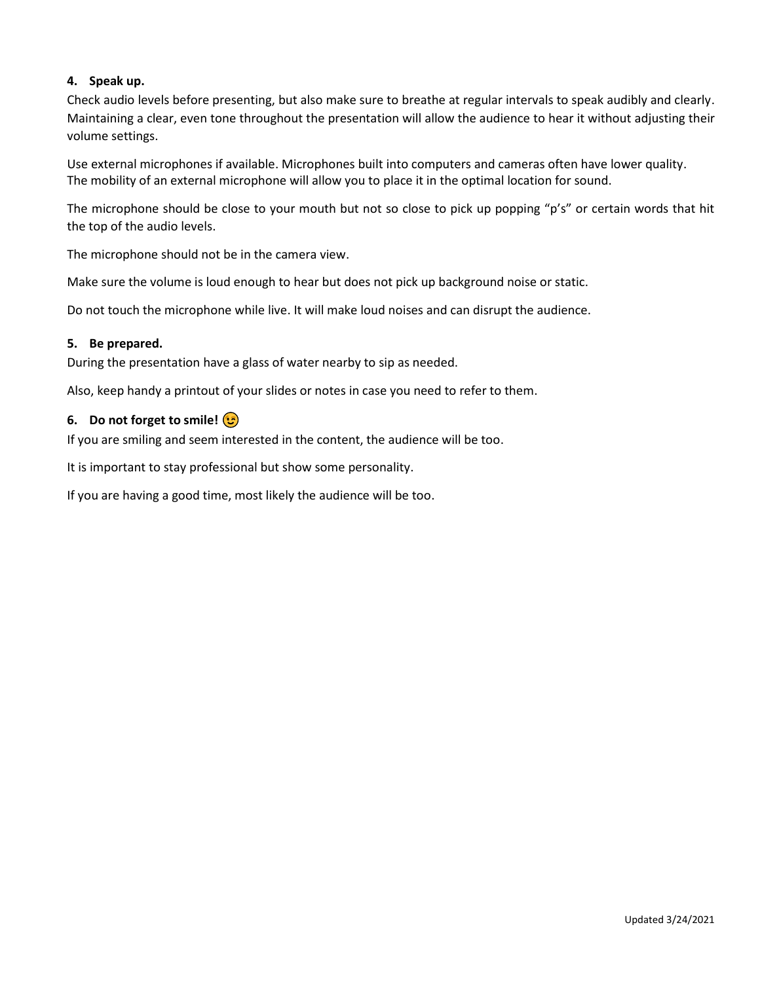# **4. Speak up.**

Check audio levels before presenting, but also make sure to breathe at regular intervals to speak audibly and clearly. Maintaining a clear, even tone throughout the presentation will allow the audience to hear it without adjusting their volume settings.

Use external microphones if available. Microphones built into computers and cameras often have lower quality. The mobility of an external microphone will allow you to place it in the optimal location for sound.

The microphone should be close to your mouth but not so close to pick up popping "p's" or certain words that hit the top of the audio levels.

The microphone should not be in the camera view.

Make sure the volume is loud enough to hear but does not pick up background noise or static.

Do not touch the microphone while live. It will make loud noises and can disrupt the audience.

# **5. Be prepared.**

During the presentation have a glass of water nearby to sip as needed.

Also, keep handy a printout of your slides or notes in case you need to refer to them.

# **6. Do not forget to smile!**

If you are smiling and seem interested in the content, the audience will be too.

It is important to stay professional but show some personality.

If you are having a good time, most likely the audience will be too.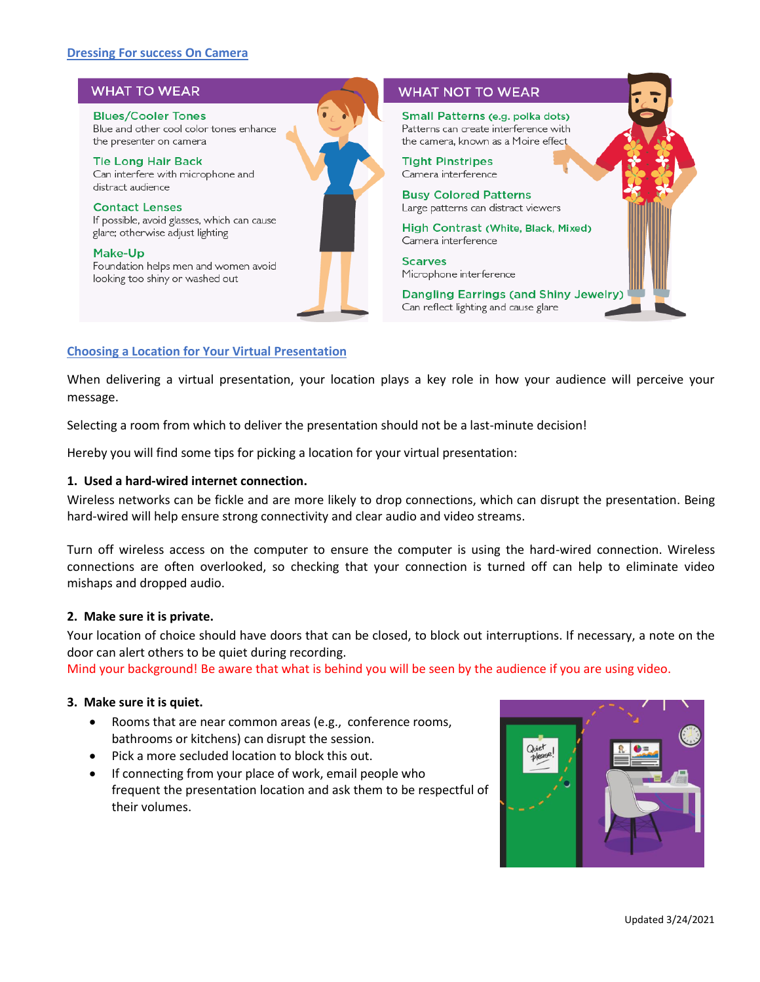# **Dressing For success On Camera**

#### **WHAT TO WEAR WHAT NOT TO WEAR Blues/Cooler Tones** Small Patterns (e.g. polka dots) Blue and other cool color tones enhance Patterns can create interference with the presenter on camera the camera. known as a Moire effect **Tight Pinstripes Tie Long Hair Back** Camera interference Can interfere with microphone and distract audience **Busy Colored Patterns Contact Lenses** Large patterns can distract viewers If possible, avoid glasses, which can cause High Contrast (White, Black, Mixed) glare; otherwise adjust lighting Camera interference Make-Up **Scarves** Foundation helps men and women avoid Microphone interference looking too shiny or washed out **Dangling Earrings (and Shiny Jewelry)** Can reflect lighting and cause glare

# **Choosing a Location for Your Virtual Presentation**

When delivering a virtual presentation, your location plays a key role in how your audience will perceive your message.

Selecting a room from which to deliver the presentation should not be a last-minute decision!

Hereby you will find some tips for picking a location for your virtual presentation:

#### **1. Used a hard-wired internet connection.**

Wireless networks can be fickle and are more likely to drop connections, which can disrupt the presentation. Being hard-wired will help ensure strong connectivity and clear audio and video streams.

Turn off wireless access on the computer to ensure the computer is using the hard-wired connection. Wireless connections are often overlooked, so checking that your connection is turned off can help to eliminate video mishaps and dropped audio.

## **2. Make sure it is private.**

Your location of choice should have doors that can be closed, to block out interruptions. If necessary, a note on the door can alert others to be quiet during recording.

Mind your background! Be aware that what is behind you will be seen by the audience if you are using video.

# **3. Make sure it is quiet.**

- Rooms that are near common areas (e.g., conference rooms, bathrooms or kitchens) can disrupt the session.
- Pick a more secluded location to block this out.
- If connecting from your place of work, email people who frequent the presentation location and ask them to be respectful of their volumes.